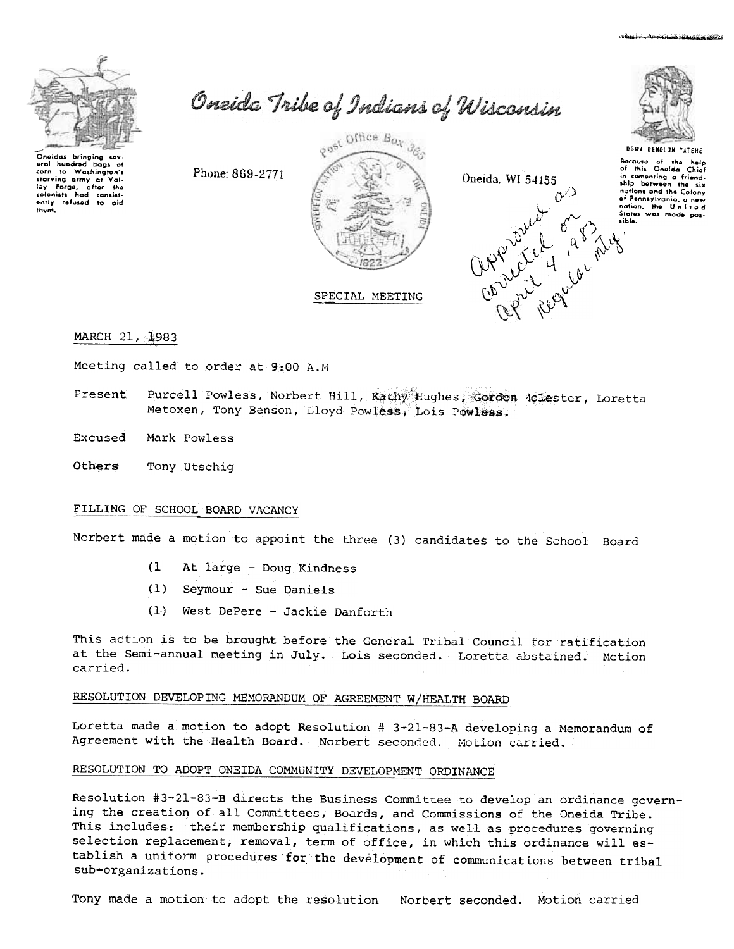

Oneidas bringing sev hundred bags of corn starving army of Val-<br>lay Forge, after the<br>colonists had consist-<br>ently refused to aid them.

Oneida Tribe of Indians of Wisconsin

Phone: 869-2771







Because of the help<br>of this Oneida Chief in comenting a friendnations and the Colony nations and the coloring<br>of Pennsylvania, a new<br>nation, the United<br>States was made pos-

MARCH 21, 1983

Meeting called to order at 9:00 A.M

Purcell Powless, Norbert Hill, Kathy Hughes, Gordon iclester, Loretta Present Metoxen, Tony Benson, Lloyd Powless, Lois Powless.

Excused Mark Powless

Others Tony Utschiq

# FILLING OF SCHOOL BOARD VACANCY

Norbert made a motion to appoint the three (3) candidates to the School Board

- $(1)$ At large - Doug Kindness
- (1) Seymour Sue Daniels
- $(1)$ West DePere - Jackie Danforth

This action is to be brought before the General Tribal Council for ratification at the Semi-annual meeting in July. Lois seconded. Loretta abstained. Motion carried.

# RESOLUTION DEVELOPING MEMORANDUM OF AGREEMENT W/HEALTH BOARD

Loretta made a motion to adopt Resolution # 3-21-83-A developing a Memorandum of Agreement with the Health Board. Norbert seconded. Motion carried.

# RESOLUTION TO ADOPT ONEIDA COMMUNITY DEVELOPMENT ORDINANCE

Resolution #3-21-83-B directs the Business Committee to develop an ordinance governing the creation of all Committees, Boards, and Commissions of the Oneida Tribe. This includes: their membership qualifications, as well as procedures governing selection replacement, removal, term of office, in which this ordinance will establish a uniform procedures for the development of communications between tribal sub-organizations.

Tony made a motion to adopt the resolution Norbert seconded. Motion carried